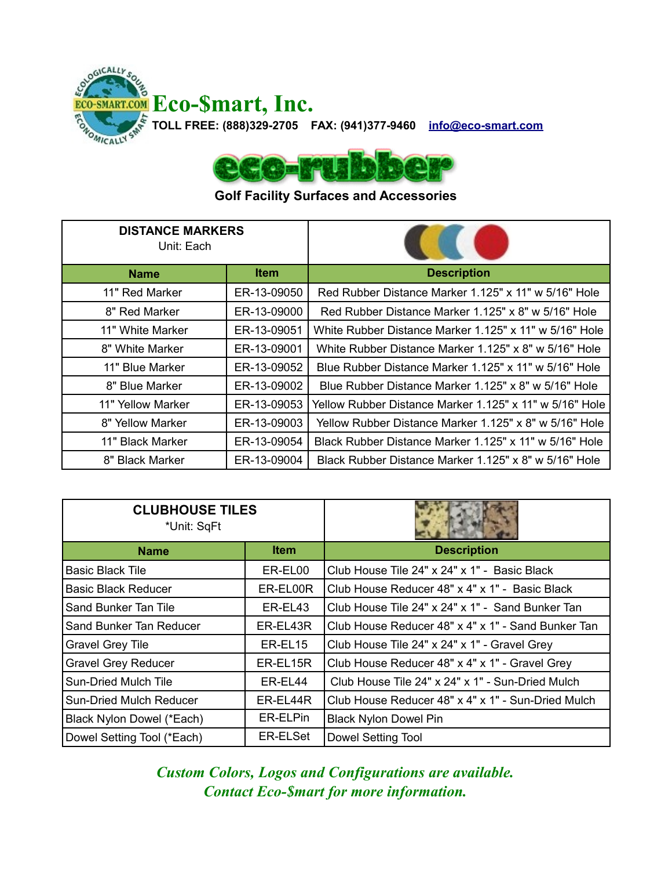



## **Golf Facility Surfaces and Accessories**

| <b>DISTANCE MARKERS</b><br>Unit: Each |             |                                                         |
|---------------------------------------|-------------|---------------------------------------------------------|
| <b>Name</b>                           | <b>Item</b> | <b>Description</b>                                      |
| 11" Red Marker                        | ER-13-09050 | Red Rubber Distance Marker 1.125" x 11" w 5/16" Hole    |
| 8" Red Marker                         | ER-13-09000 | Red Rubber Distance Marker 1.125" x 8" w 5/16" Hole     |
| 11" White Marker                      | ER-13-09051 | White Rubber Distance Marker 1.125" x 11" w 5/16" Hole  |
| 8" White Marker                       | ER-13-09001 | White Rubber Distance Marker 1.125" x 8" w 5/16" Hole   |
| 11" Blue Marker                       | ER-13-09052 | Blue Rubber Distance Marker 1.125" x 11" w 5/16" Hole   |
| 8" Blue Marker                        | ER-13-09002 | Blue Rubber Distance Marker 1.125" x 8" w 5/16" Hole    |
| 11" Yellow Marker                     | ER-13-09053 | Yellow Rubber Distance Marker 1.125" x 11" w 5/16" Hole |
| 8" Yellow Marker                      | ER-13-09003 | Yellow Rubber Distance Marker 1.125" x 8" w 5/16" Hole  |
| 11" Black Marker                      | ER-13-09054 | Black Rubber Distance Marker 1.125" x 11" w 5/16" Hole  |
| 8" Black Marker                       | ER-13-09004 | Black Rubber Distance Marker 1.125" x 8" w 5/16" Hole   |

| <b>CLUBHOUSE TILES</b><br>*Unit: SqFt |             |                                                    |
|---------------------------------------|-------------|----------------------------------------------------|
| <b>Name</b>                           | <b>Item</b> | <b>Description</b>                                 |
| <b>Basic Black Tile</b>               | ER-EL00     | Club House Tile 24" x 24" x 1" - Basic Black       |
| <b>Basic Black Reducer</b>            | ER-EL00R    | Club House Reducer 48" x 4" x 1" - Basic Black     |
| Sand Bunker Tan Tile                  | ER-EL43     | Club House Tile 24" x 24" x 1" - Sand Bunker Tan   |
| Sand Bunker Tan Reducer               | ER-EL43R    | Club House Reducer 48" x 4" x 1" - Sand Bunker Tan |
| <b>Gravel Grey Tile</b>               | ER-EL15     | Club House Tile 24" x 24" x 1" - Gravel Grey       |
| <b>Gravel Grey Reducer</b>            | ER-EL15R    | Club House Reducer 48" x 4" x 1" - Gravel Grey     |
| Sun-Dried Mulch Tile                  | ER-EL44     | Club House Tile 24" x 24" x 1" - Sun-Dried Mulch   |
| Sun-Dried Mulch Reducer               | ER-EL44R    | Club House Reducer 48" x 4" x 1" - Sun-Dried Mulch |
| Black Nylon Dowel (*Each)             | ER-ELPin    | <b>Black Nylon Dowel Pin</b>                       |
| Dowel Setting Tool (*Each)            | ER-ELSet    | Dowel Setting Tool                                 |

*Custom Colors, Logos and Configurations are available. Contact Eco-\$mart for more information.*